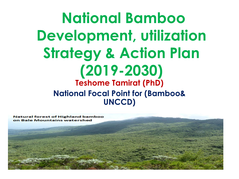**National Bamboo Development, utilization Strategy & Action Plan (2019-2030) Teshome Tamirat (PhD) National Focal Point for (Bamboo& UNCCD)**

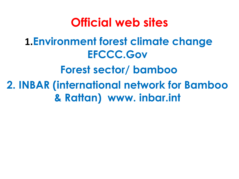**Official web sites 1.Environment forest climate change EFCCC.Gov Forest sector/ bamboo 2. INBAR (international network for Bamboo & Rattan) www. inbar.int**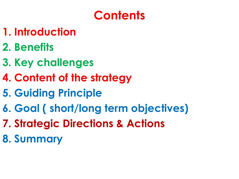# **Contents**

- **1. Introduction**
- **2. Benefits**
- **3. Key challenges**
- **4. Content of the strategy**
- **5. Guiding Principle**
- **6. Goal ( short/long term objectives)**
- **7. Strategic Directions & Actions**
- **8. Summary**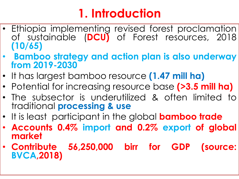# **1. Introduction**

- Ethiopia implementing revised forest proclamation of sustainable (**DCU)** of Forest resources, 2018 **(10/65)**
- **Bamboo strategy and action plan is also underway from 2019-2030**
- It has largest bamboo resource **(1.47 mill ha)**
- Potential for increasing resource base **(>3.5 mill ha)**
- The subsector is underutilized & often limited to traditional **processing & use**
- It is least participant in the global **bamboo trade**
- **Accounts 0.4% import and 0.2% export of global market**
- **Contribute 56,250,000 birr for GDP (source: BVCA,2018)**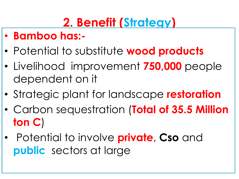# **2. Benefit (Strategy)**

- **Bamboo has:-**
- Potential to substitute **wood products**
- Livelihood improvement **750,000** people dependent on it
- Strategic plant for landscape **restoration**
- Carbon sequestration (**Total of 35.5 Million ton C**)
- Potential to involve **private**, **Cso** and **public** sectors at large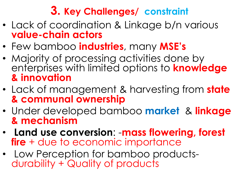### **3. Key Challenges/ constraint**

- Lack of coordination & Linkage b/n various **value-chain actors**
- Few bamboo **industries**, many **MSE's**
- Majority of processing activities done by enterprises with limited options to **knowledge & innovation**
- Lack of management & harvesting from **state & communal ownership**
- Under developed bamboo **market** & **linkage & mechanism**
- **Land use conversion**: -**mass flowering, forest fire** + due to economic importance
- Low Perception for bamboo productsdurability + Quality of products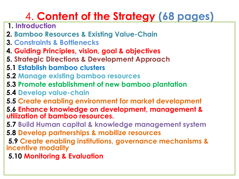# 4. **Content of the Strategy (68 pages)**

- **1. Introduction**
- **2. Bamboo Resources & Existing Value-Chain**
- **3. Constraints & Bottlenecks**
- **4. Guiding Principles, vision, goal & objectives**
- **5. Strategic Directions & Development Approach**
- **5.1 Establish bamboo clusters**
- **5.2 Manage existing bamboo resources**
- **5.3 Promote establishment of new bamboo plantation**
- **5.4 Develop value-chain**
- **5.5 Create enabling environment for market development**
- **5.6 Enhance knowledge on development, management & utilization of bamboo resources.**
- **5.7 Build Human capital & knowledge management system**
- **5.8 Develop partnerships & mobilize resources**
- **5.9 Create enabling institutions, governance mechanisms & incentive modality**
- **5.10 Monitoring & Evaluation**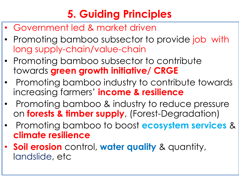# **5. Guiding Principles**

- Government led & market driven
- Promoting bamboo subsector to provide job with long supply-chain/value-chain
- Promoting bamboo subsector to contribute towards **green growth initiative/ CRGE**
- Promoting bamboo industry to contribute towards increasing farmers' **income & resilience**
- Promoting bamboo & industry to reduce pressure on **forests & timber supply**, (Forest-Degradation)
- Promoting bamboo to boost **ecosystem services** & **climate resilience**
- **Soil erosion** control, **water quality** & quantity, landslide, etc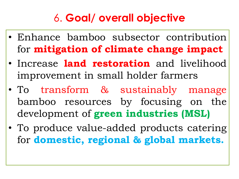## 6. **Goal/ overall objective**

- Enhance bamboo subsector contribution for **mitigation of climate change impact**
- Increase **land restoration** and livelihood improvement in small holder farmers
- To transform & sustainably manage bamboo resources by focusing on the development of **green industries (MSL)**
- To produce value-added products catering for **domestic, regional & global markets.**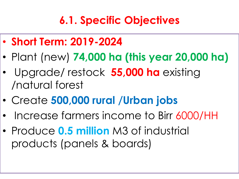# **6.1. Specific Objectives**

- **Short Term: 2019-2024**
- Plant (new) **74,000 ha (this year 20,000 ha)**
- Upgrade/ restock **55,000 ha** existing /natural forest
- Create **500,000 rural /Urban jobs**
- Increase farmers income to Birr 6000/HH
- Produce **0.5 million** M3 of industrial products (panels & boards)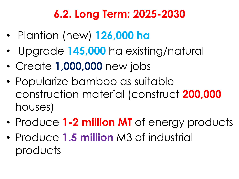## **6.2. Long Term: 2025-2030**

- Plantion (new) **126,000 ha**
- Upgrade **145,000** ha existing/natural
- Create **1,000,000** new jobs
- Popularize bamboo as suitable construction material (construct **200,000**  houses)
- Produce **1-2 million MT** of energy products
- Produce **1.5 million** M3 of industrial products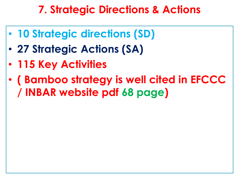### **7. Strategic Directions & Actions**

- **10 Strategic directions (SD)**
- **27 Strategic Actions (SA)**
- **115 Key Activities**
- **( Bamboo strategy is well cited in EFCCC / INBAR website pdf 68 page)**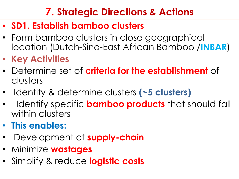### **7. Strategic Directions & Actions**

- **SD1. Establish bamboo clusters**
- Form bamboo clusters in close geographical location (Dutch-Sino-East African Bamboo /**INBAR**)
- **Key Activities**
- Determine set of **criteria for the establishment** of clusters
- Identify & determine clusters **(~5 clusters)**
- Identify specific **bamboo products** that should fall within clusters
- **This enables:**
- Development of **supply-chain**
- Minimize **wastages**
- Simplify & reduce **logistic costs**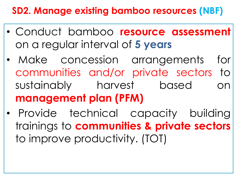### **SD2. Manage existing bamboo resources (NBF)**

- Conduct bamboo **resource assessment** on a regular interval of **5 years**
- Make concession arrangements for communities and/or private sectors to sustainably harvest based on **management plan (PFM)**
- Provide technical capacity building trainings to **communities & private sectors** to improve productivity. (TOT)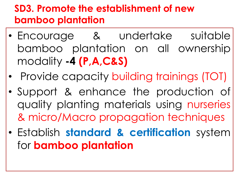### **SD3. Promote the establishment of new bamboo plantation**

- Encourage & undertake suitable bamboo plantation on all ownership modality **-4 (P,A,C&S)**
- Provide capacity building trainings (TOT)
- Support & enhance the production of quality planting materials using nurseries & micro/Macro propagation techniques
- Establish **standard & certification** system for **bamboo plantation**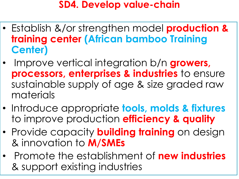#### **SD4. Develop value-chain**

- Establish &/or strengthen model **production & training center (African bamboo Training Center)**
- Improve vertical integration b/n **growers, processors, enterprises & industries** to ensure sustainable supply of age & size graded raw materials
- Introduce appropriate **tools, molds & fixtures**  to improve production **efficiency & quality**
- Provide capacity **building training** on design & innovation to **M/SMEs**
- Promote the establishment of **new industries**  & support existing industries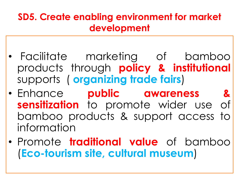#### **SD5. Create enabling environment for market development**

- Facilitate marketing of bamboo products through **policy & institutional** supports ( **organizing trade fairs**)
- Enhance **public awareness & sensitization** to promote wider use of bamboo products & support access to information
- Promote **traditional value** of bamboo (**Eco-tourism site, cultural museum**)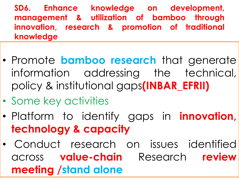**SD6. Enhance knowledge on development, management & utilization of bamboo through innovation, research & promotion of traditional knowledge**

- Promote **bamboo research** that generate information addressing the technical, policy & institutional gaps**(INBAR\_EFRII)**
- Some key activities
- Platform to identify gaps in **innovation, technology & capacity**
- Conduct research on issues identified across **value-chain** Research **review meeting /stand alone**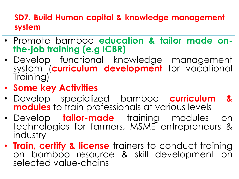#### **SD7. Build Human capital & knowledge management system**

- Promote bamboo **education & tailor made onthe-job training (e.g ICBR)**
- Develop functional knowledge management system (**curriculum development** for vocational Training)
- **Some key Activities**
- Develop specialized bamboo **curriculum & modules** to train professionals at various levels
- Develop **tailor-made** training modules on technologies for farmers, MSME entrepreneurs & industry
- **Train, certify & license** trainers to conduct training on bamboo resource & skill development on selected value-chains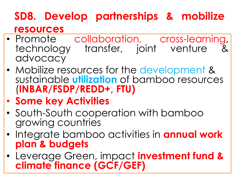### **SD8. Develop partnerships & mobilize resources**

- Promote collaboration, cross-learning,<br>technoloay transfer, ioint venture & technology transfer, joint venture advocacy
- Mobilize resources for the development & sustainable **utilization** of bamboo resources (**INBAR/FSDP/REDD+, FTU)**
- **Some key Activities**
- South-South cooperation with bamboo growing countries
- Integrate bamboo activities in **annual work plan & budgets**
- Leverage Green, impact **investment fund & climate finance (GCF/GEF)**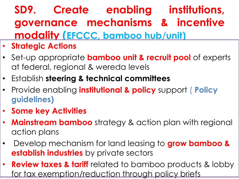# **SD9. Create enabling institutions, governance mechanisms & incentive modality (EFCCC, bamboo hub/unit)**

- **Strategic Actions**
- Set-up appropriate **bamboo unit & recruit pool** of experts at federal, regional & wereda levels
- Establish **steering & technical committees**
- Provide enabling **institutional & policy** support ( **Policy guidelines)**
- **Some key Activities**
- **Mainstream bamboo** strategy & action plan with regional action plans
- Develop mechanism for land leasing to **grow bamboo & establish industries** by private sectors
- **Review taxes & tariff** related to bamboo products & lobby for tax exemption/reduction through policy briefs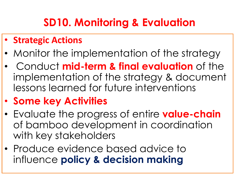## **SD10. Monitoring & Evaluation**

#### • **Strategic Actions**

- Monitor the implementation of the strategy
- Conduct **mid-term & final evaluation** of the implementation of the strategy & document lessons learned for future interventions

### • **Some key Activities**

- Evaluate the progress of entire **value-chain** of bamboo development in coordination with key stakeholders
- Produce evidence based advice to influence **policy & decision making**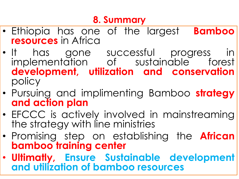### **8. Summary**

- Ethiopia has one of the largest **Bamboo resources** in Africa
- It has gone successful progress in implementation of sustainable forest **development, utilization and conservation** policy
- Pursuing and implimenting Bamboo **strategy and action plan**
- EFCCC is actively involved in mainstreaming the strategy with line ministries
- Promising step on establishing the **African bamboo training center**
- **Ultimatly, Ensure Sustainable development and utilization of bamboo resources**